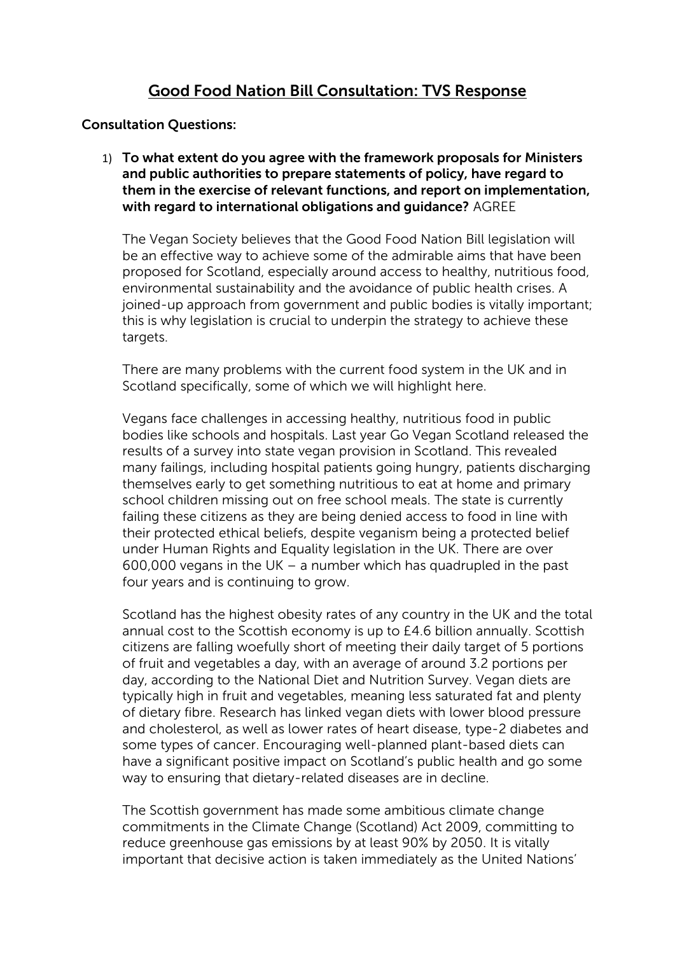# **Good Food Nation Bill Consultation: TVS Response**

#### **Consultation Questions:**

1) **To what extent do you agree with the framework proposals for Ministers and public authorities to prepare statements of policy, have regard to them in the exercise of relevant functions, and report on implementation, with regard to international obligations and guidance?** AGREE

The Vegan Society believes that the Good Food Nation Bill legislation will be an effective way to achieve some of the admirable aims that have been proposed for Scotland, especially around access to healthy, nutritious food, environmental sustainability and the avoidance of public health crises. A joined-up approach from government and public bodies is vitally important; this is why legislation is crucial to underpin the strategy to achieve these targets.

There are many problems with the current food system in the UK and in Scotland specifically, some of which we will highlight here.

Vegans face challenges in accessing healthy, nutritious food in public bodies like schools and hospitals. Last year Go Vegan Scotland released the results of a survey into state vegan provision in Scotland. This revealed many failings, including hospital patients going hungry, patients discharging themselves early to get something nutritious to eat at home and primary school children missing out on free school meals. The state is currently failing these citizens as they are being denied access to food in line with their protected ethical beliefs, despite veganism being a protected belief under Human Rights and Equality legislation in the UK. There are over 600,000 vegans in the UK – a number which has quadrupled in the past four years and is continuing to grow.

Scotland has the highest obesity rates of any country in the UK and the total annual cost to the Scottish economy is up to £4.6 billion annually. Scottish citizens are falling woefully short of meeting their daily target of 5 portions of fruit and vegetables a day, with an average of around 3.2 portions per day, according to the National Diet and Nutrition Survey. Vegan diets are typically high in fruit and vegetables, meaning less saturated fat and plenty of dietary fibre. Research has linked vegan diets with lower blood pressure and cholesterol, as well as lower rates of heart disease, type-2 diabetes and some types of cancer. Encouraging well-planned plant-based diets can have a significant positive impact on Scotland's public health and go some way to ensuring that dietary-related diseases are in decline.

The Scottish government has made some ambitious climate change commitments in the Climate Change (Scotland) Act 2009, committing to reduce greenhouse gas emissions by at least 90% by 2050. It is vitally important that decisive action is taken immediately as the United Nations'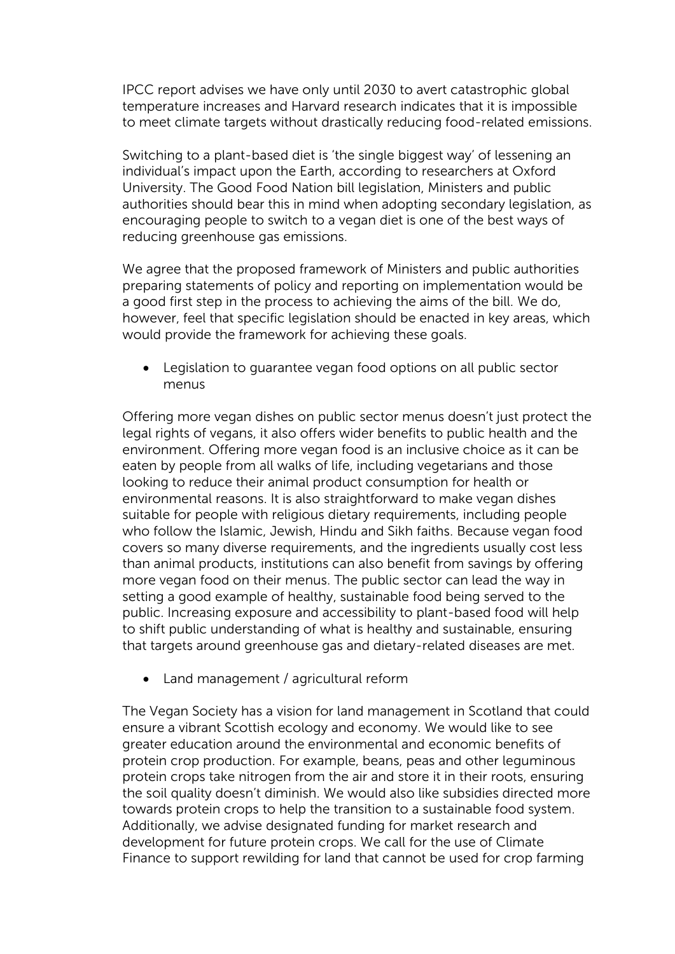IPCC report advises we have only until 2030 to avert catastrophic global temperature increases and Harvard research indicates that it is impossible to meet climate targets without drastically reducing food-related emissions.

Switching to a plant-based diet is 'the single biggest way' of lessening an individual's impact upon the Earth, according to researchers at Oxford University. The Good Food Nation bill legislation, Ministers and public authorities should bear this in mind when adopting secondary legislation, as encouraging people to switch to a vegan diet is one of the best ways of reducing greenhouse gas emissions.

We agree that the proposed framework of Ministers and public authorities preparing statements of policy and reporting on implementation would be a good first step in the process to achieving the aims of the bill. We do, however, feel that specific legislation should be enacted in key areas, which would provide the framework for achieving these goals.

• Legislation to guarantee vegan food options on all public sector menus

Offering more vegan dishes on public sector menus doesn't just protect the legal rights of vegans, it also offers wider benefits to public health and the environment. Offering more vegan food is an inclusive choice as it can be eaten by people from all walks of life, including vegetarians and those looking to reduce their animal product consumption for health or environmental reasons. It is also straightforward to make vegan dishes suitable for people with religious dietary requirements, including people who follow the Islamic, Jewish, Hindu and Sikh faiths. Because vegan food covers so many diverse requirements, and the ingredients usually cost less than animal products, institutions can also benefit from savings by offering more vegan food on their menus. The public sector can lead the way in setting a good example of healthy, sustainable food being served to the public. Increasing exposure and accessibility to plant-based food will help to shift public understanding of what is healthy and sustainable, ensuring that targets around greenhouse gas and dietary-related diseases are met.

• Land management / agricultural reform

The Vegan Society has a vision for land management in Scotland that could ensure a vibrant Scottish ecology and economy. We would like to see greater education around the environmental and economic benefits of protein crop production. For example, beans, peas and other leguminous protein crops take nitrogen from the air and store it in their roots, ensuring the soil quality doesn't diminish. We would also like subsidies directed more towards protein crops to help the transition to a sustainable food system. Additionally, we advise designated funding for market research and development for future protein crops. We call for the use of Climate Finance to support rewilding for land that cannot be used for crop farming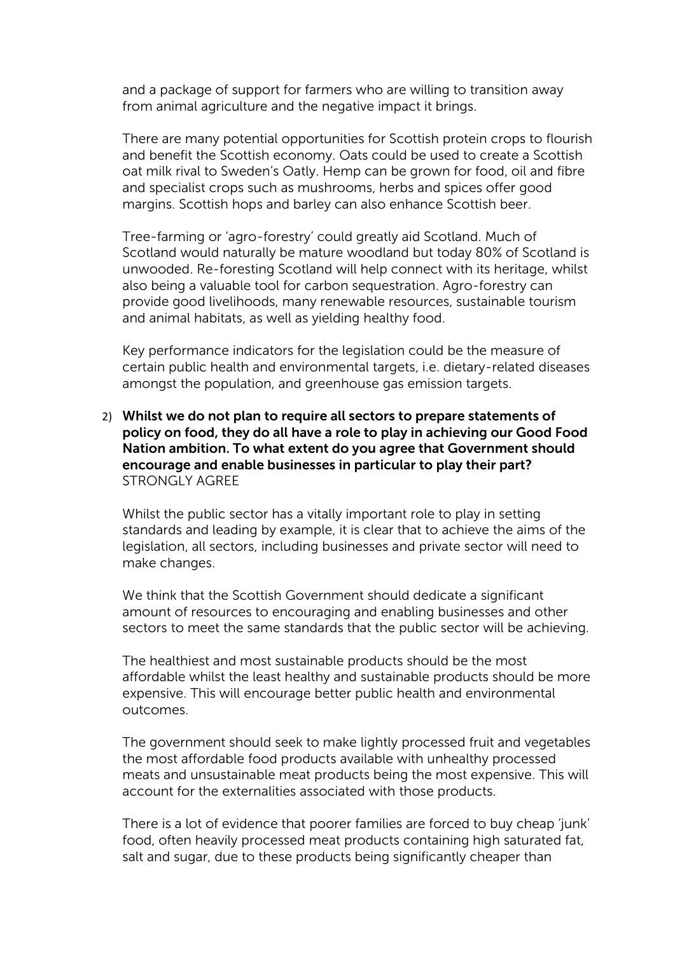and a package of support for farmers who are willing to transition away from animal agriculture and the negative impact it brings.

There are many potential opportunities for Scottish protein crops to flourish and benefit the Scottish economy. Oats could be used to create a Scottish oat milk rival to Sweden's Oatly. Hemp can be grown for food, oil and fibre and specialist crops such as mushrooms, herbs and spices offer good margins. Scottish hops and barley can also enhance Scottish beer.

Tree-farming or 'agro-forestry' could greatly aid Scotland. Much of Scotland would naturally be mature woodland but today 80% of Scotland is unwooded. Re-foresting Scotland will help connect with its heritage, whilst also being a valuable tool for carbon sequestration. Agro-forestry can provide good livelihoods, many renewable resources, sustainable tourism and animal habitats, as well as yielding healthy food.

Key performance indicators for the legislation could be the measure of certain public health and environmental targets, i.e. dietary-related diseases amongst the population, and greenhouse gas emission targets.

### 2) **Whilst we do not plan to require all sectors to prepare statements of policy on food, they do all have a role to play in achieving our Good Food Nation ambition. To what extent do you agree that Government should encourage and enable businesses in particular to play their part?** STRONGLY AGREE

Whilst the public sector has a vitally important role to play in setting standards and leading by example, it is clear that to achieve the aims of the legislation, all sectors, including businesses and private sector will need to make changes.

We think that the Scottish Government should dedicate a significant amount of resources to encouraging and enabling businesses and other sectors to meet the same standards that the public sector will be achieving.

The healthiest and most sustainable products should be the most affordable whilst the least healthy and sustainable products should be more expensive. This will encourage better public health and environmental outcomes.

The government should seek to make lightly processed fruit and vegetables the most affordable food products available with unhealthy processed meats and unsustainable meat products being the most expensive. This will account for the externalities associated with those products.

There is a lot of evidence that poorer families are forced to buy cheap 'junk' food, often heavily processed meat products containing high saturated fat, salt and sugar, due to these products being significantly cheaper than